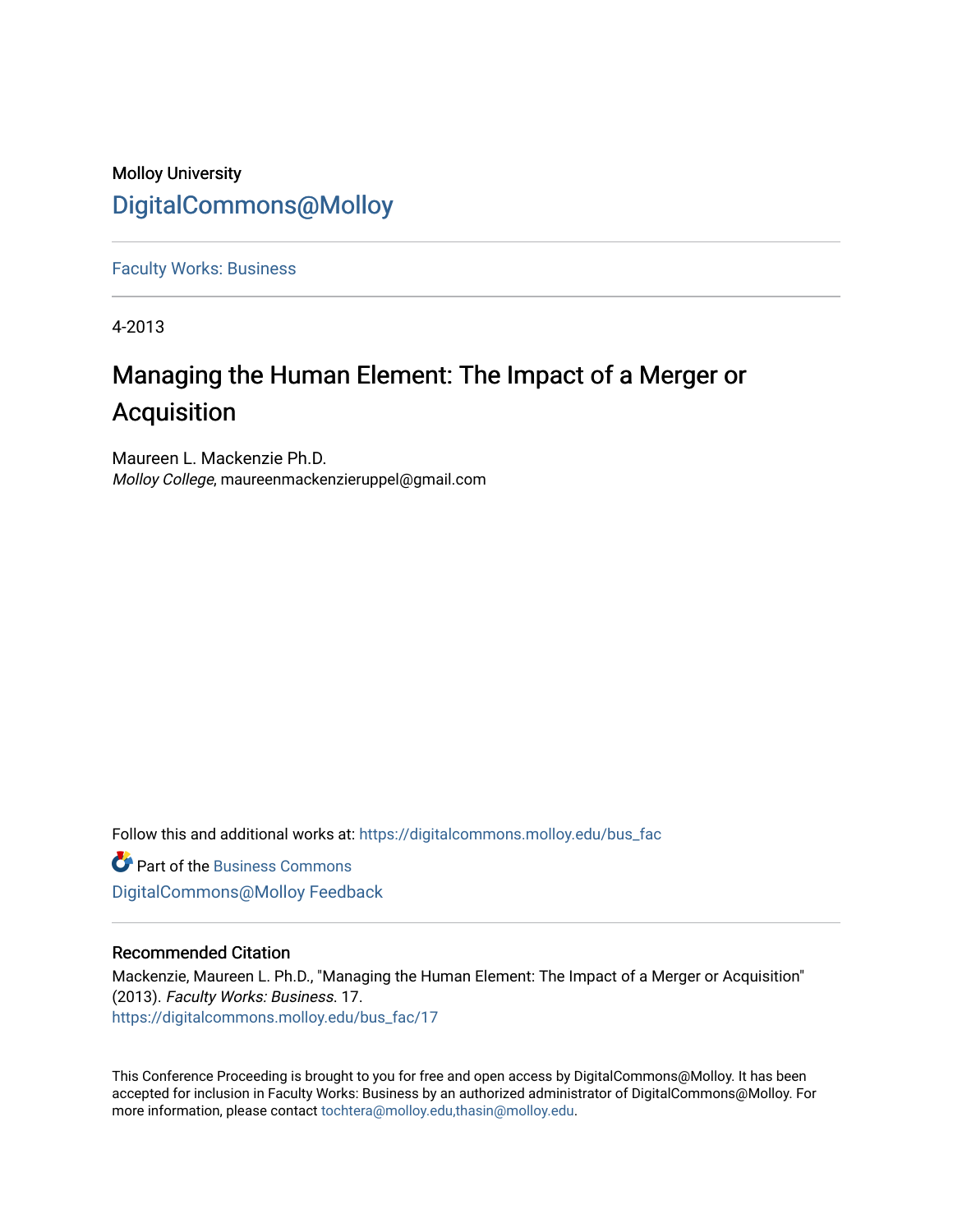# Molloy University [DigitalCommons@Molloy](https://digitalcommons.molloy.edu/)

[Faculty Works: Business](https://digitalcommons.molloy.edu/bus_fac) 

4-2013

# Managing the Human Element: The Impact of a Merger or Acquisition

Maureen L. Mackenzie Ph.D. Molloy College, maureenmackenzieruppel@gmail.com

Follow this and additional works at: [https://digitalcommons.molloy.edu/bus\\_fac](https://digitalcommons.molloy.edu/bus_fac?utm_source=digitalcommons.molloy.edu%2Fbus_fac%2F17&utm_medium=PDF&utm_campaign=PDFCoverPages)

**C** Part of the [Business Commons](https://network.bepress.com/hgg/discipline/622?utm_source=digitalcommons.molloy.edu%2Fbus_fac%2F17&utm_medium=PDF&utm_campaign=PDFCoverPages) [DigitalCommons@Molloy Feedback](https://molloy.libwizard.com/f/dcfeedback)

# Recommended Citation

Mackenzie, Maureen L. Ph.D., "Managing the Human Element: The Impact of a Merger or Acquisition" (2013). Faculty Works: Business. 17. [https://digitalcommons.molloy.edu/bus\\_fac/17](https://digitalcommons.molloy.edu/bus_fac/17?utm_source=digitalcommons.molloy.edu%2Fbus_fac%2F17&utm_medium=PDF&utm_campaign=PDFCoverPages) 

This Conference Proceeding is brought to you for free and open access by DigitalCommons@Molloy. It has been accepted for inclusion in Faculty Works: Business by an authorized administrator of DigitalCommons@Molloy. For more information, please contact [tochtera@molloy.edu,thasin@molloy.edu.](mailto:tochtera@molloy.edu,thasin@molloy.edu)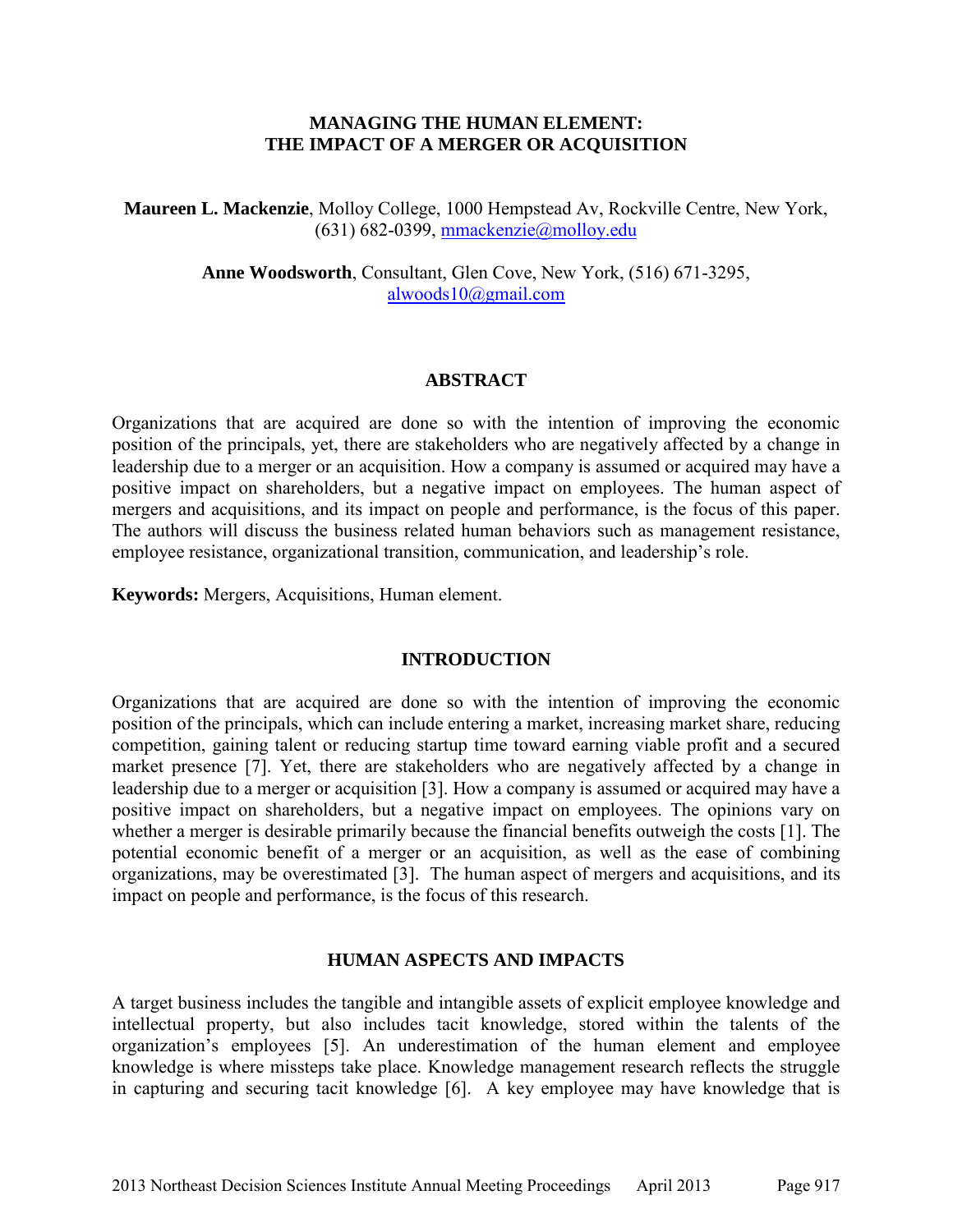# **MANAGING THE HUMAN ELEMENT: THE IMPACT OF A MERGER OR ACQUISITION**

**Maureen L. Mackenzie**, Molloy College, 1000 Hempstead Av, Rockville Centre, New York, (631) 682-0399, mmackenzie@molloy.edu

> **Anne Woodsworth**, Consultant, Glen Cove, New York, (516) 671-3295, alwoods10@gmail.com

#### **ABSTRACT**

Organizations that are acquired are done so with the intention of improving the economic position of the principals, yet, there are stakeholders who are negatively affected by a change in leadership due to a merger or an acquisition. How a company is assumed or acquired may have a positive impact on shareholders, but a negative impact on employees. The human aspect of mergers and acquisitions, and its impact on people and performance, is the focus of this paper. The authors will discuss the business related human behaviors such as management resistance, employee resistance, organizational transition, communication, and leadership's role.

**Keywords:** Mergers, Acquisitions, Human element.

# **INTRODUCTION**

Organizations that are acquired are done so with the intention of improving the economic position of the principals, which can include entering a market, increasing market share, reducing competition, gaining talent or reducing startup time toward earning viable profit and a secured market presence [7]. Yet, there are stakeholders who are negatively affected by a change in leadership due to a merger or acquisition [3]. How a company is assumed or acquired may have a positive impact on shareholders, but a negative impact on employees. The opinions vary on whether a merger is desirable primarily because the financial benefits outweigh the costs [1]. The potential economic benefit of a merger or an acquisition, as well as the ease of combining organizations, may be overestimated [3]. The human aspect of mergers and acquisitions, and its impact on people and performance, is the focus of this research.

# **HUMAN ASPECTS AND IMPACTS**

A target business includes the tangible and intangible assets of explicit employee knowledge and intellectual property, but also includes tacit knowledge, stored within the talents of the organization's employees [5]. An underestimation of the human element and employee knowledge is where missteps take place. Knowledge management research reflects the struggle in capturing and securing tacit knowledge [6]. A key employee may have knowledge that is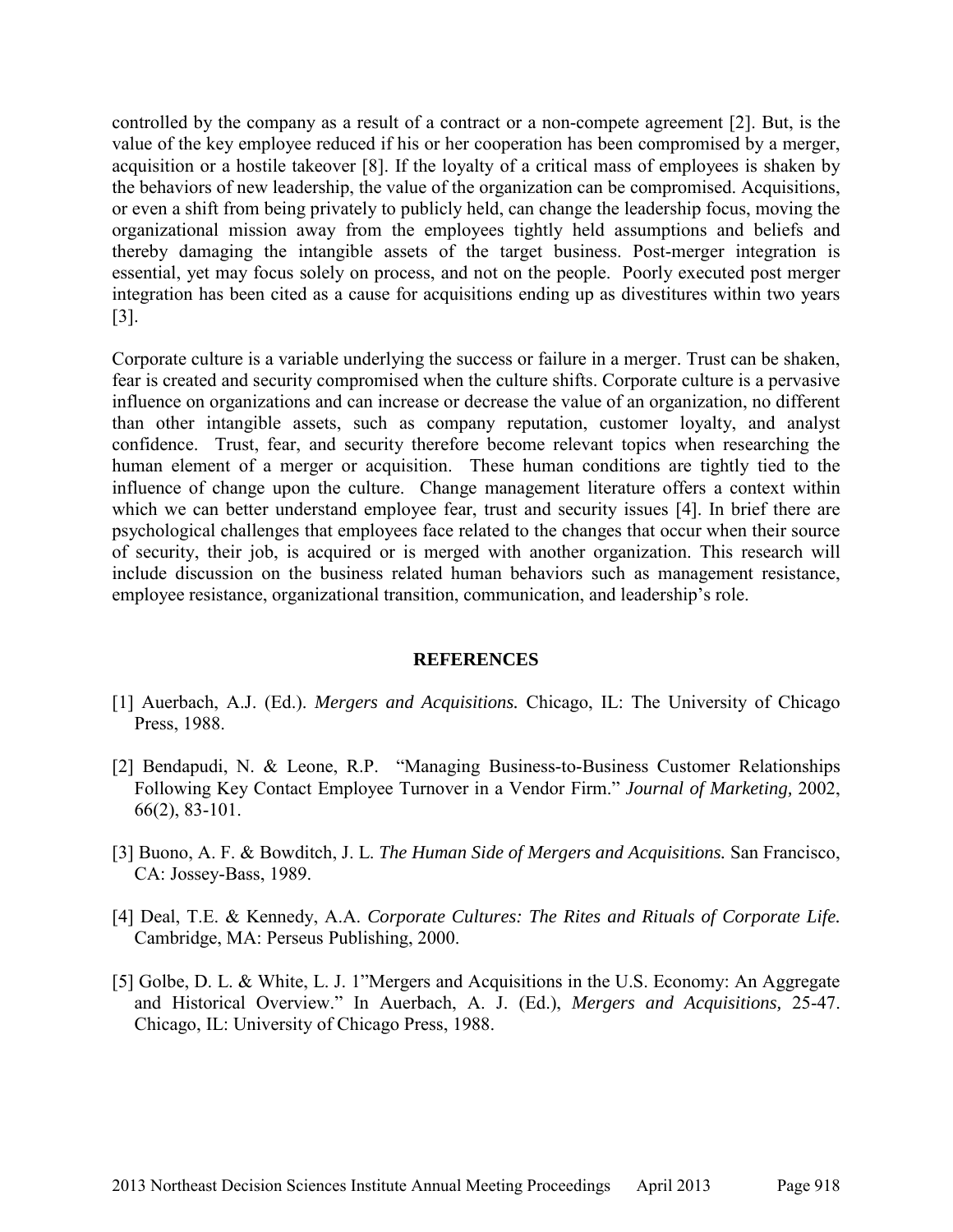controlled by the company as a result of a contract or a non-compete agreement [2]. But, is the value of the key employee reduced if his or her cooperation has been compromised by a merger, acquisition or a hostile takeover [8]. If the loyalty of a critical mass of employees is shaken by the behaviors of new leadership, the value of the organization can be compromised. Acquisitions, or even a shift from being privately to publicly held, can change the leadership focus, moving the organizational mission away from the employees tightly held assumptions and beliefs and thereby damaging the intangible assets of the target business. Post-merger integration is essential, yet may focus solely on process, and not on the people. Poorly executed post merger integration has been cited as a cause for acquisitions ending up as divestitures within two years [3].

Corporate culture is a variable underlying the success or failure in a merger. Trust can be shaken, fear is created and security compromised when the culture shifts. Corporate culture is a pervasive influence on organizations and can increase or decrease the value of an organization, no different than other intangible assets, such as company reputation, customer loyalty, and analyst confidence. Trust, fear, and security therefore become relevant topics when researching the human element of a merger or acquisition. These human conditions are tightly tied to the influence of change upon the culture. Change management literature offers a context within which we can better understand employee fear, trust and security issues [4]. In brief there are psychological challenges that employees face related to the changes that occur when their source of security, their job, is acquired or is merged with another organization. This research will include discussion on the business related human behaviors such as management resistance, employee resistance, organizational transition, communication, and leadership's role.

# **REFERENCES**

- [1] Auerbach, A.J. (Ed.). *Mergers and Acquisitions.* Chicago, IL: The University of Chicago Press, 1988.
- [2] Bendapudi, N. & Leone, R.P. "Managing Business-to-Business Customer Relationships Following Key Contact Employee Turnover in a Vendor Firm." *Journal of Marketing,* 2002, 66(2), 83-101.
- [3] Buono, A. F. & Bowditch, J. L. *The Human Side of Mergers and Acquisitions.* San Francisco, CA: Jossey-Bass, 1989.
- [4] Deal, T.E. & Kennedy, A.A. *Corporate Cultures: The Rites and Rituals of Corporate Life.*  Cambridge, MA: Perseus Publishing, 2000.
- [5] Golbe, D. L. & White, L. J. 1"Mergers and Acquisitions in the U.S. Economy: An Aggregate and Historical Overview." In Auerbach, A. J. (Ed.), *Mergers and Acquisitions,* 25-47. Chicago, IL: University of Chicago Press, 1988.